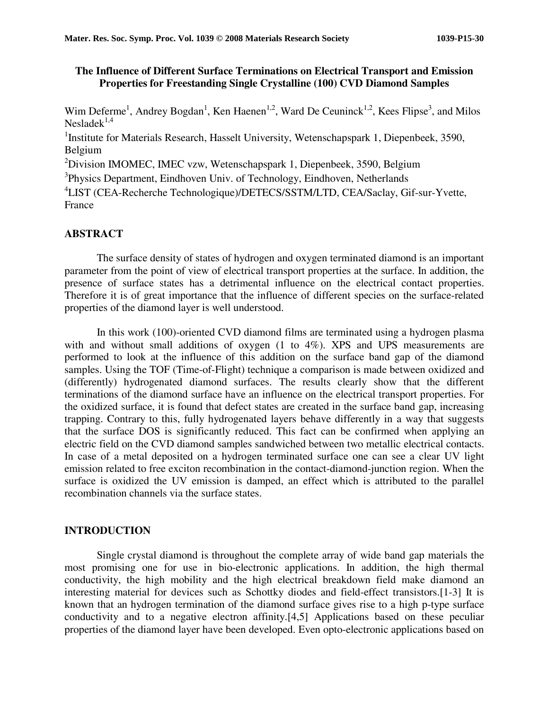## **The Influence of Different Surface Terminations on Electrical Transport and Emission Properties for Freestanding Single Crystalline (100) CVD Diamond Samples**

Wim Deferme<sup>1</sup>, Andrey Bogdan<sup>1</sup>, Ken Haenen<sup>1,2</sup>, Ward De Ceuninck<sup>1,2</sup>, Kees Flipse<sup>3</sup>, and Milos Neslade $k^{1,4}$ 

<sup>1</sup>Institute for Materials Research, Hasselt University, Wetenschapspark 1, Diepenbeek, 3590, Belgium

<sup>2</sup>Division IMOMEC, IMEC vzw, Wetenschapspark 1, Diepenbeek, 3590, Belgium

<sup>3</sup>Physics Department, Eindhoven Univ. of Technology, Eindhoven, Netherlands

4 LIST (CEA-Recherche Technologique)/DETECS/SSTM/LTD, CEA/Saclay, Gif-sur-Yvette, France

# **ABSTRACT**

The surface density of states of hydrogen and oxygen terminated diamond is an important parameter from the point of view of electrical transport properties at the surface. In addition, the presence of surface states has a detrimental influence on the electrical contact properties. Therefore it is of great importance that the influence of different species on the surface-related properties of the diamond layer is well understood.

In this work (100)-oriented CVD diamond films are terminated using a hydrogen plasma with and without small additions of oxygen (1 to 4%). XPS and UPS measurements are performed to look at the influence of this addition on the surface band gap of the diamond samples. Using the TOF (Time-of-Flight) technique a comparison is made between oxidized and (differently) hydrogenated diamond surfaces. The results clearly show that the different terminations of the diamond surface have an influence on the electrical transport properties. For the oxidized surface, it is found that defect states are created in the surface band gap, increasing trapping. Contrary to this, fully hydrogenated layers behave differently in a way that suggests that the surface DOS is significantly reduced. This fact can be confirmed when applying an electric field on the CVD diamond samples sandwiched between two metallic electrical contacts. In case of a metal deposited on a hydrogen terminated surface one can see a clear UV light emission related to free exciton recombination in the contact-diamond-junction region. When the surface is oxidized the UV emission is damped, an effect which is attributed to the parallel recombination channels via the surface states.

### **INTRODUCTION**

Single crystal diamond is throughout the complete array of wide band gap materials the most promising one for use in bio-electronic applications. In addition, the high thermal conductivity, the high mobility and the high electrical breakdown field make diamond an interesting material for devices such as Schottky diodes and field-effect transistors.[1-3] It is known that an hydrogen termination of the diamond surface gives rise to a high p-type surface conductivity and to a negative electron affinity.[4,5] Applications based on these peculiar properties of the diamond layer have been developed. Even opto-electronic applications based on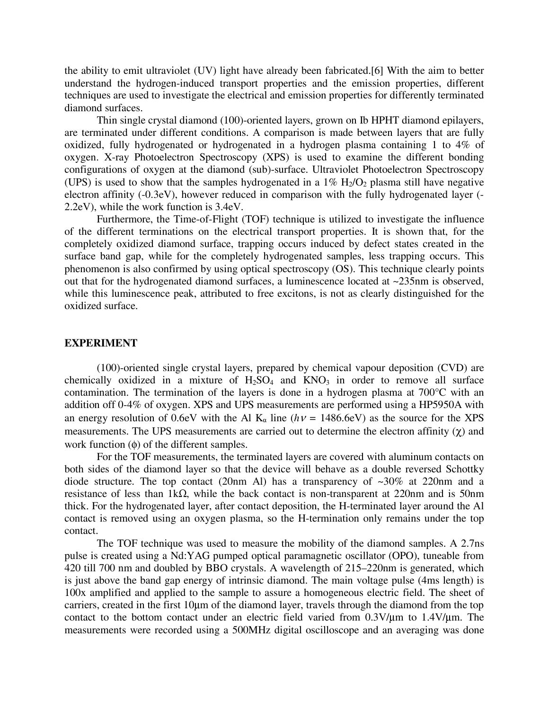the ability to emit ultraviolet (UV) light have already been fabricated.[6] With the aim to better understand the hydrogen-induced transport properties and the emission properties, different techniques are used to investigate the electrical and emission properties for differently terminated diamond surfaces.

Thin single crystal diamond (100)-oriented layers, grown on Ib HPHT diamond epilayers, are terminated under different conditions. A comparison is made between layers that are fully oxidized, fully hydrogenated or hydrogenated in a hydrogen plasma containing 1 to 4% of oxygen. X-ray Photoelectron Spectroscopy (XPS) is used to examine the different bonding configurations of oxygen at the diamond (sub)-surface. Ultraviolet Photoelectron Spectroscopy (UPS) is used to show that the samples hydrogenated in a  $1\%$  H<sub>2</sub>/O<sub>2</sub> plasma still have negative electron affinity (-0.3eV), however reduced in comparison with the fully hydrogenated layer (- 2.2eV), while the work function is 3.4eV.

Furthermore, the Time-of-Flight (TOF) technique is utilized to investigate the influence of the different terminations on the electrical transport properties. It is shown that, for the completely oxidized diamond surface, trapping occurs induced by defect states created in the surface band gap, while for the completely hydrogenated samples, less trapping occurs. This phenomenon is also confirmed by using optical spectroscopy (OS). This technique clearly points out that for the hydrogenated diamond surfaces, a luminescence located at ~235nm is observed, while this luminescence peak, attributed to free excitons, is not as clearly distinguished for the oxidized surface.

### **EXPERIMENT**

 (100)-oriented single crystal layers, prepared by chemical vapour deposition (CVD) are chemically oxidized in a mixture of  $H_2SO_4$  and  $KNO_3$  in order to remove all surface contamination. The termination of the layers is done in a hydrogen plasma at 700°C with an addition off 0-4% of oxygen. XPS and UPS measurements are performed using a HP5950A with an energy resolution of 0.6eV with the Al  $K_{\alpha}$  line ( $h\nu$  = 1486.6eV) as the source for the XPS measurements. The UPS measurements are carried out to determine the electron affinity  $(\gamma)$  and work function (φ) of the different samples.

 For the TOF measurements, the terminated layers are covered with aluminum contacts on both sides of the diamond layer so that the device will behave as a double reversed Schottky diode structure. The top contact (20nm Al) has a transparency of  $\sim$ 30% at 220nm and a resistance of less than 1kΩ, while the back contact is non-transparent at 220nm and is 50nm thick. For the hydrogenated layer, after contact deposition, the H-terminated layer around the Al contact is removed using an oxygen plasma, so the H-termination only remains under the top contact.

The TOF technique was used to measure the mobility of the diamond samples. A 2.7ns pulse is created using a Nd:YAG pumped optical paramagnetic oscillator (OPO), tuneable from 420 till 700 nm and doubled by BBO crystals. A wavelength of 215–220nm is generated, which is just above the band gap energy of intrinsic diamond. The main voltage pulse (4ms length) is 100x amplified and applied to the sample to assure a homogeneous electric field. The sheet of carriers, created in the first 10µm of the diamond layer, travels through the diamond from the top contact to the bottom contact under an electric field varied from 0.3V/µm to 1.4V/µm. The measurements were recorded using a 500MHz digital oscilloscope and an averaging was done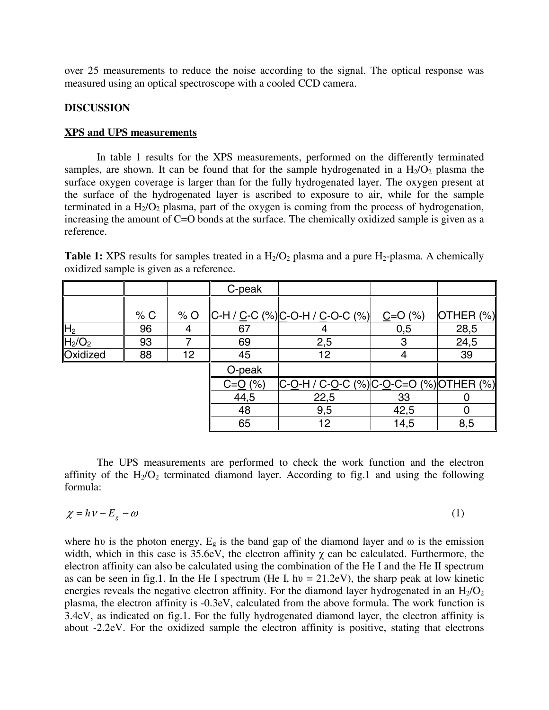over 25 measurements to reduce the noise according to the signal. The optical response was measured using an optical spectroscope with a cooled CCD camera.

## **DISCUSSION**

### **XPS and UPS measurements**

 In table 1 results for the XPS measurements, performed on the differently terminated samples, are shown. It can be found that for the sample hydrogenated in a  $H_2/O_2$  plasma the surface oxygen coverage is larger than for the fully hydrogenated layer. The oxygen present at the surface of the hydrogenated layer is ascribed to exposure to air, while for the sample terminated in a  $H<sub>2</sub>/O<sub>2</sub>$  plasma, part of the oxygen is coming from the process of hydrogenation, increasing the amount of C=O bonds at the surface. The chemically oxidized sample is given as a reference.

|                                |     |       | C-peak       |                                                                    |            |              |
|--------------------------------|-----|-------|--------------|--------------------------------------------------------------------|------------|--------------|
|                                | % C | $%$ O |              | $ C-H / C-C$ (%) $ C-O-H / C-O-C$ (%)                              | $C = O(%)$ | OTHER $(\%)$ |
| H <sub>2</sub>                 | 96  |       | 67           |                                                                    | 0,5        | 28,5         |
| H <sub>2</sub> /O <sub>2</sub> | 93  |       | 69           | 2,5                                                                | 3          | 24,5         |
| Oxidized                       | 88  | 12    | 45           | 12                                                                 |            | 39           |
|                                |     |       | O-peak       |                                                                    |            |              |
|                                |     |       | $C = Q (\%)$ | C- <u>O</u> -H / C- <u>O</u> -C (%) C- <u>O</u> -C=O (%) OTHER (%) |            |              |
|                                |     |       | 44,5         | 22,5                                                               | 33         |              |
|                                |     |       | 48           | 9,5                                                                | 42,5       |              |
|                                |     |       | 65           | 12                                                                 | 14,5       | 8,5          |

**Table 1:** XPS results for samples treated in a  $H_2/O_2$  plasma and a pure  $H_2$ -plasma. A chemically oxidized sample is given as a reference.

The UPS measurements are performed to check the work function and the electron affinity of the  $H_2/O_2$  terminated diamond layer. According to fig.1 and using the following formula:

$$
\chi = h\nu - E_g - \omega \tag{1}
$$

where hu is the photon energy,  $E_g$  is the band gap of the diamond layer and  $\omega$  is the emission width, which in this case is  $35.6eV$ , the electron affinity  $\chi$  can be calculated. Furthermore, the electron affinity can also be calculated using the combination of the He I and the He II spectrum as can be seen in fig.1. In the He I spectrum (He I, hv =  $21.2 \text{eV}$ ), the sharp peak at low kinetic energies reveals the negative electron affinity. For the diamond layer hydrogenated in an  $H_2/O_2$ plasma, the electron affinity is -0.3eV, calculated from the above formula. The work function is 3.4eV, as indicated on fig.1. For the fully hydrogenated diamond layer, the electron affinity is about -2.2eV. For the oxidized sample the electron affinity is positive, stating that electrons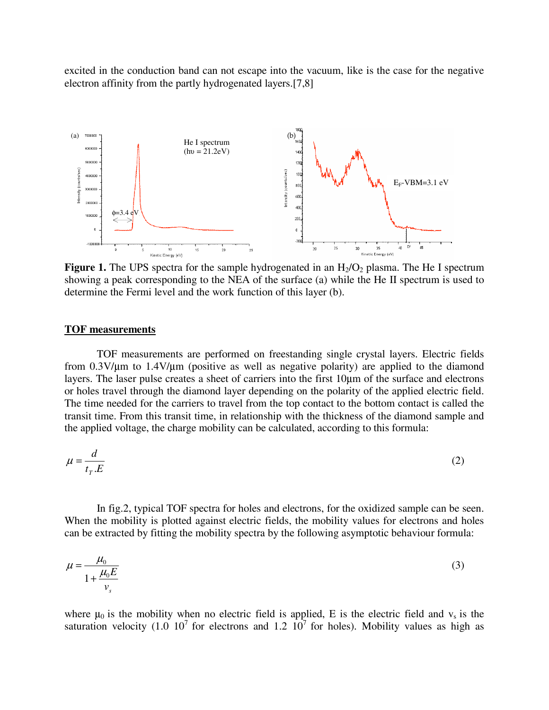excited in the conduction band can not escape into the vacuum, like is the case for the negative electron affinity from the partly hydrogenated layers.[7,8]



**Figure 1.** The UPS spectra for the sample hydrogenated in an H<sub>2</sub>/O<sub>2</sub> plasma. The He I spectrum showing a peak corresponding to the NEA of the surface (a) while the He II spectrum is used to determine the Fermi level and the work function of this layer (b).

### **TOF measurements**

TOF measurements are performed on freestanding single crystal layers. Electric fields from 0.3V/µm to 1.4V/µm (positive as well as negative polarity) are applied to the diamond layers. The laser pulse creates a sheet of carriers into the first 10µm of the surface and electrons or holes travel through the diamond layer depending on the polarity of the applied electric field. The time needed for the carriers to travel from the top contact to the bottom contact is called the transit time. From this transit time, in relationship with the thickness of the diamond sample and the applied voltage, the charge mobility can be calculated, according to this formula:

$$
\mu = \frac{d}{t_T.E} \tag{2}
$$

 In fig.2, typical TOF spectra for holes and electrons, for the oxidized sample can be seen. When the mobility is plotted against electric fields, the mobility values for electrons and holes can be extracted by fitting the mobility spectra by the following asymptotic behaviour formula:

$$
\mu = \frac{\mu_0}{1 + \frac{\mu_0 E}{v_s}}
$$
\n<sup>(3)</sup>

where  $\mu_0$  is the mobility when no electric field is applied, E is the electric field and  $v_s$  is the saturation velocity (1.0  $10^7$  for electrons and 1.2  $10^7$  for holes). Mobility values as high as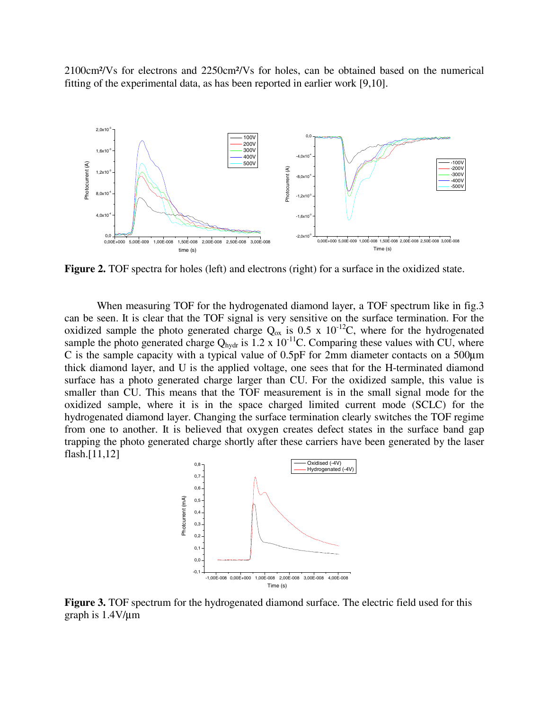2100cm²/Vs for electrons and 2250cm²/Vs for holes, can be obtained based on the numerical fitting of the experimental data, as has been reported in earlier work [9,10].



**Figure 2.** TOF spectra for holes (left) and electrons (right) for a surface in the oxidized state.

When measuring TOF for the hydrogenated diamond layer, a TOF spectrum like in fig.3 can be seen. It is clear that the TOF signal is very sensitive on the surface termination. For the oxidized sample the photo generated charge  $Q_{ox}$  is 0.5 x 10<sup>-12</sup>C, where for the hydrogenated sample the photo generated charge Q<sub>hydr</sub> is  $1.2 \times 10^{-11}$ C. Comparing these values with CU, where C is the sample capacity with a typical value of 0.5pF for 2mm diameter contacts on a 500µ<sup>m</sup> thick diamond layer, and U is the applied voltage, one sees that for the H-terminated diamond surface has a photo generated charge larger than CU. For the oxidized sample, this value is smaller than CU. This means that the TOF measurement is in the small signal mode for the oxidized sample, where it is in the space charged limited current mode (SCLC) for the hydrogenated diamond layer. Changing the surface termination clearly switches the TOF regime from one to another. It is believed that oxygen creates defect states in the surface band gap trapping the photo generated charge shortly after these carriers have been generated by the laser flash.[11,12]



**Figure 3.** TOF spectrum for the hydrogenated diamond surface. The electric field used for this graph is 1.4V/µ<sup>m</sup>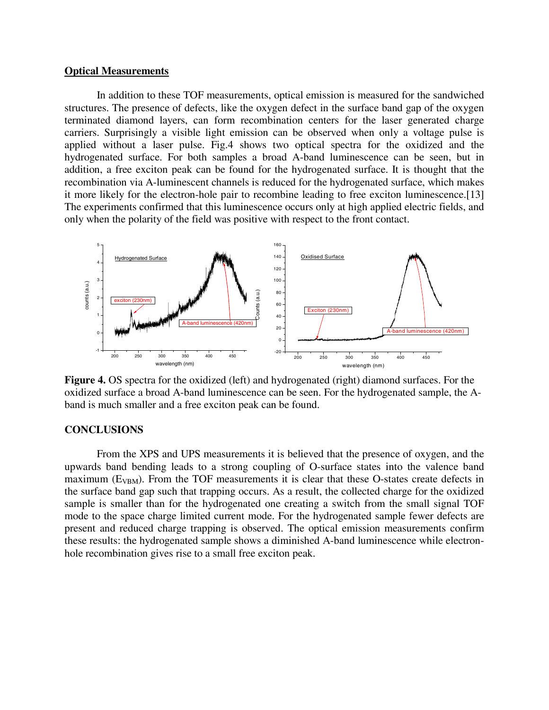### **Optical Measurements**

In addition to these TOF measurements, optical emission is measured for the sandwiched structures. The presence of defects, like the oxygen defect in the surface band gap of the oxygen terminated diamond layers, can form recombination centers for the laser generated charge carriers. Surprisingly a visible light emission can be observed when only a voltage pulse is applied without a laser pulse. Fig.4 shows two optical spectra for the oxidized and the hydrogenated surface. For both samples a broad A-band luminescence can be seen, but in addition, a free exciton peak can be found for the hydrogenated surface. It is thought that the recombination via A-luminescent channels is reduced for the hydrogenated surface, which makes it more likely for the electron-hole pair to recombine leading to free exciton luminescence.[13] The experiments confirmed that this luminescence occurs only at high applied electric fields, and only when the polarity of the field was positive with respect to the front contact.



**Figure 4.** OS spectra for the oxidized (left) and hydrogenated (right) diamond surfaces. For the oxidized surface a broad A-band luminescence can be seen. For the hydrogenated sample, the Aband is much smaller and a free exciton peak can be found.

# **CONCLUSIONS**

From the XPS and UPS measurements it is believed that the presence of oxygen, and the upwards band bending leads to a strong coupling of O-surface states into the valence band maximum ( $E_{VBM}$ ). From the TOF measurements it is clear that these O-states create defects in the surface band gap such that trapping occurs. As a result, the collected charge for the oxidized sample is smaller than for the hydrogenated one creating a switch from the small signal TOF mode to the space charge limited current mode. For the hydrogenated sample fewer defects are present and reduced charge trapping is observed. The optical emission measurements confirm these results: the hydrogenated sample shows a diminished A-band luminescence while electronhole recombination gives rise to a small free exciton peak.